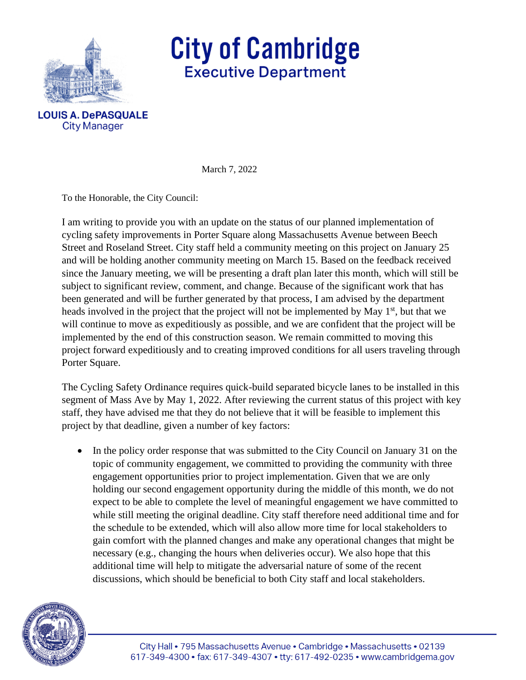

**City Manager** 

## **City of Cambridge Executive Department**

March 7, 2022

To the Honorable, the City Council:

I am writing to provide you with an update on the status of our planned implementation of cycling safety improvements in Porter Square along Massachusetts Avenue between Beech Street and Roseland Street. City staff held a community meeting on this project on January 25 and will be holding another community meeting on March 15. Based on the feedback received since the January meeting, we will be presenting a draft plan later this month, which will still be subject to significant review, comment, and change. Because of the significant work that has been generated and will be further generated by that process, I am advised by the department heads involved in the project that the project will not be implemented by May 1<sup>st</sup>, but that we will continue to move as expeditiously as possible, and we are confident that the project will be implemented by the end of this construction season. We remain committed to moving this project forward expeditiously and to creating improved conditions for all users traveling through Porter Square.

The Cycling Safety Ordinance requires quick-build separated bicycle lanes to be installed in this segment of Mass Ave by May 1, 2022. After reviewing the current status of this project with key staff, they have advised me that they do not believe that it will be feasible to implement this project by that deadline, given a number of key factors:

• In the policy order response that was submitted to the City Council on January 31 on the topic of community engagement, we committed to providing the community with three engagement opportunities prior to project implementation. Given that we are only holding our second engagement opportunity during the middle of this month, we do not expect to be able to complete the level of meaningful engagement we have committed to while still meeting the original deadline. City staff therefore need additional time and for the schedule to be extended, which will also allow more time for local stakeholders to gain comfort with the planned changes and make any operational changes that might be necessary (e.g., changing the hours when deliveries occur). We also hope that this additional time will help to mitigate the adversarial nature of some of the recent discussions, which should be beneficial to both City staff and local stakeholders.

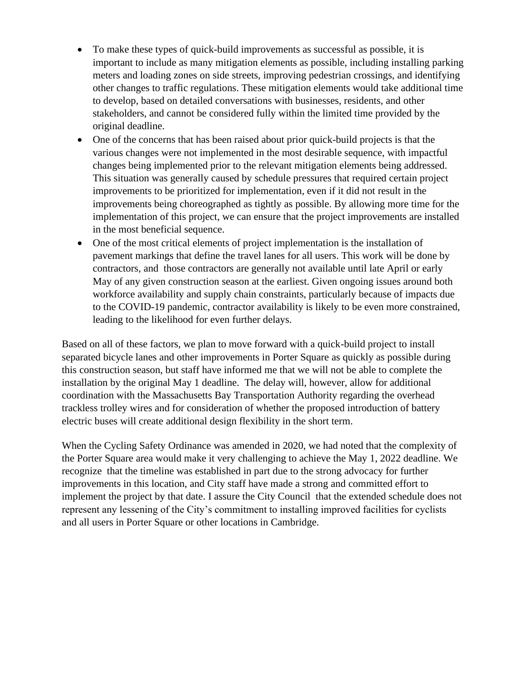- To make these types of quick-build improvements as successful as possible, it is important to include as many mitigation elements as possible, including installing parking meters and loading zones on side streets, improving pedestrian crossings, and identifying other changes to traffic regulations. These mitigation elements would take additional time to develop, based on detailed conversations with businesses, residents, and other stakeholders, and cannot be considered fully within the limited time provided by the original deadline.
- One of the concerns that has been raised about prior quick-build projects is that the various changes were not implemented in the most desirable sequence, with impactful changes being implemented prior to the relevant mitigation elements being addressed. This situation was generally caused by schedule pressures that required certain project improvements to be prioritized for implementation, even if it did not result in the improvements being choreographed as tightly as possible. By allowing more time for the implementation of this project, we can ensure that the project improvements are installed in the most beneficial sequence.
- One of the most critical elements of project implementation is the installation of pavement markings that define the travel lanes for all users. This work will be done by contractors, and those contractors are generally not available until late April or early May of any given construction season at the earliest. Given ongoing issues around both workforce availability and supply chain constraints, particularly because of impacts due to the COVID-19 pandemic, contractor availability is likely to be even more constrained, leading to the likelihood for even further delays.

Based on all of these factors, we plan to move forward with a quick-build project to install separated bicycle lanes and other improvements in Porter Square as quickly as possible during this construction season, but staff have informed me that we will not be able to complete the installation by the original May 1 deadline. The delay will, however, allow for additional coordination with the Massachusetts Bay Transportation Authority regarding the overhead trackless trolley wires and for consideration of whether the proposed introduction of battery electric buses will create additional design flexibility in the short term.

When the Cycling Safety Ordinance was amended in 2020, we had noted that the complexity of the Porter Square area would make it very challenging to achieve the May 1, 2022 deadline. We recognize that the timeline was established in part due to the strong advocacy for further improvements in this location, and City staff have made a strong and committed effort to implement the project by that date. I assure the City Council that the extended schedule does not represent any lessening of the City's commitment to installing improved facilities for cyclists and all users in Porter Square or other locations in Cambridge.